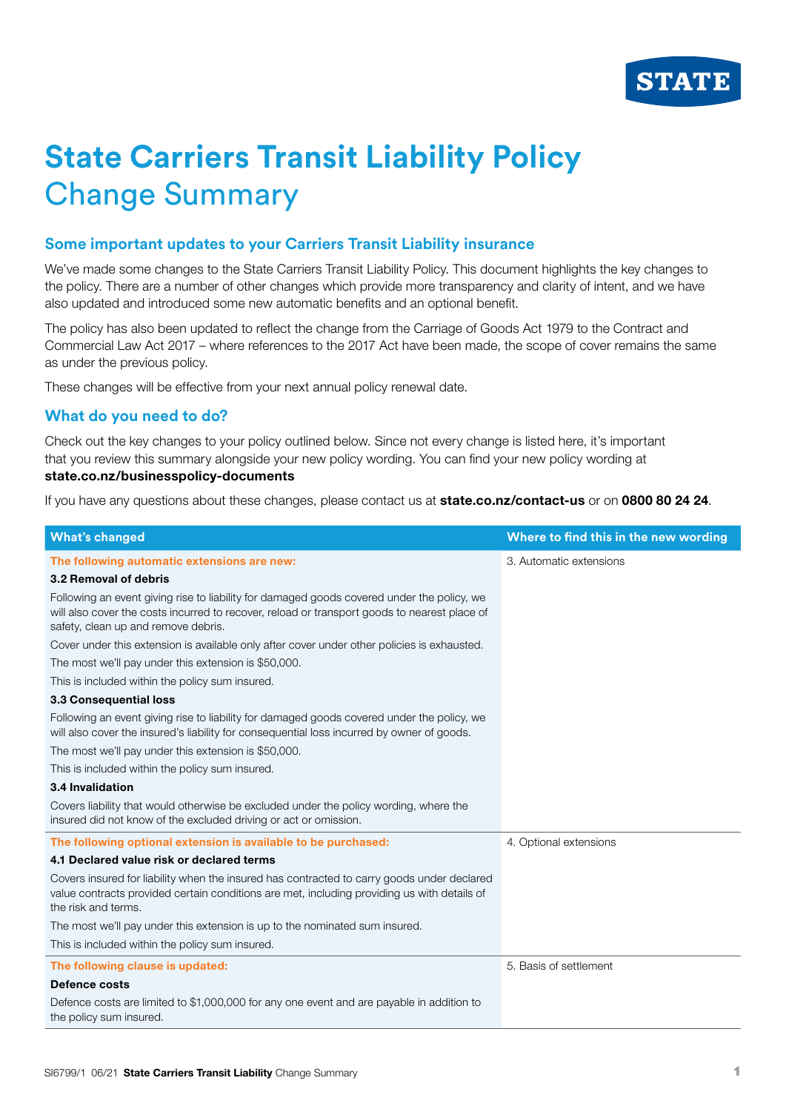

## **State Carriers Transit Liability Policy** Change Summary

## **Some important updates to your Carriers Transit Liability insurance**

We've made some changes to the State Carriers Transit Liability Policy. This document highlights the key changes to the policy. There are a number of other changes which provide more transparency and clarity of intent, and we have also updated and introduced some new automatic benefits and an optional benefit.

The policy has also been updated to reflect the change from the Carriage of Goods Act 1979 to the Contract and Commercial Law Act 2017 – where references to the 2017 Act have been made, the scope of cover remains the same as under the previous policy.

These changes will be effective from your next annual policy renewal date.

## **What do you need to do?**

Check out the key changes to your policy outlined below. Since not every change is listed here, it's important that you review this summary alongside your new policy wording. You can find your new policy wording at **state.co.nz/businesspolicy-documents**

If you have any questions about these changes, please contact us at **state.co.nz/contact-us** or on **0800 80 24 24**.

| <b>What's changed</b>                                                                                                                                                                                                             | Where to find this in the new wording |
|-----------------------------------------------------------------------------------------------------------------------------------------------------------------------------------------------------------------------------------|---------------------------------------|
| The following automatic extensions are new:                                                                                                                                                                                       | 3. Automatic extensions               |
| 3.2 Removal of debris                                                                                                                                                                                                             |                                       |
| Following an event giving rise to liability for damaged goods covered under the policy, we<br>will also cover the costs incurred to recover, reload or transport goods to nearest place of<br>safety, clean up and remove debris. |                                       |
| Cover under this extension is available only after cover under other policies is exhausted.                                                                                                                                       |                                       |
| The most we'll pay under this extension is \$50,000.                                                                                                                                                                              |                                       |
| This is included within the policy sum insured.                                                                                                                                                                                   |                                       |
| 3.3 Consequential loss                                                                                                                                                                                                            |                                       |
| Following an event giving rise to liability for damaged goods covered under the policy, we<br>will also cover the insured's liability for consequential loss incurred by owner of goods.                                          |                                       |
| The most we'll pay under this extension is \$50,000.                                                                                                                                                                              |                                       |
| This is included within the policy sum insured.                                                                                                                                                                                   |                                       |
| 3.4 Invalidation                                                                                                                                                                                                                  |                                       |
| Covers liability that would otherwise be excluded under the policy wording, where the<br>insured did not know of the excluded driving or act or omission.                                                                         |                                       |
| The following optional extension is available to be purchased:                                                                                                                                                                    | 4. Optional extensions                |
| 4.1 Declared value risk or declared terms                                                                                                                                                                                         |                                       |
| Covers insured for liability when the insured has contracted to carry goods under declared<br>value contracts provided certain conditions are met, including providing us with details of<br>the risk and terms.                  |                                       |
| The most we'll pay under this extension is up to the nominated sum insured.                                                                                                                                                       |                                       |
| This is included within the policy sum insured.                                                                                                                                                                                   |                                       |
| The following clause is updated:                                                                                                                                                                                                  | 5. Basis of settlement                |
| Defence costs                                                                                                                                                                                                                     |                                       |
| Defence costs are limited to \$1,000,000 for any one event and are payable in addition to<br>the policy sum insured.                                                                                                              |                                       |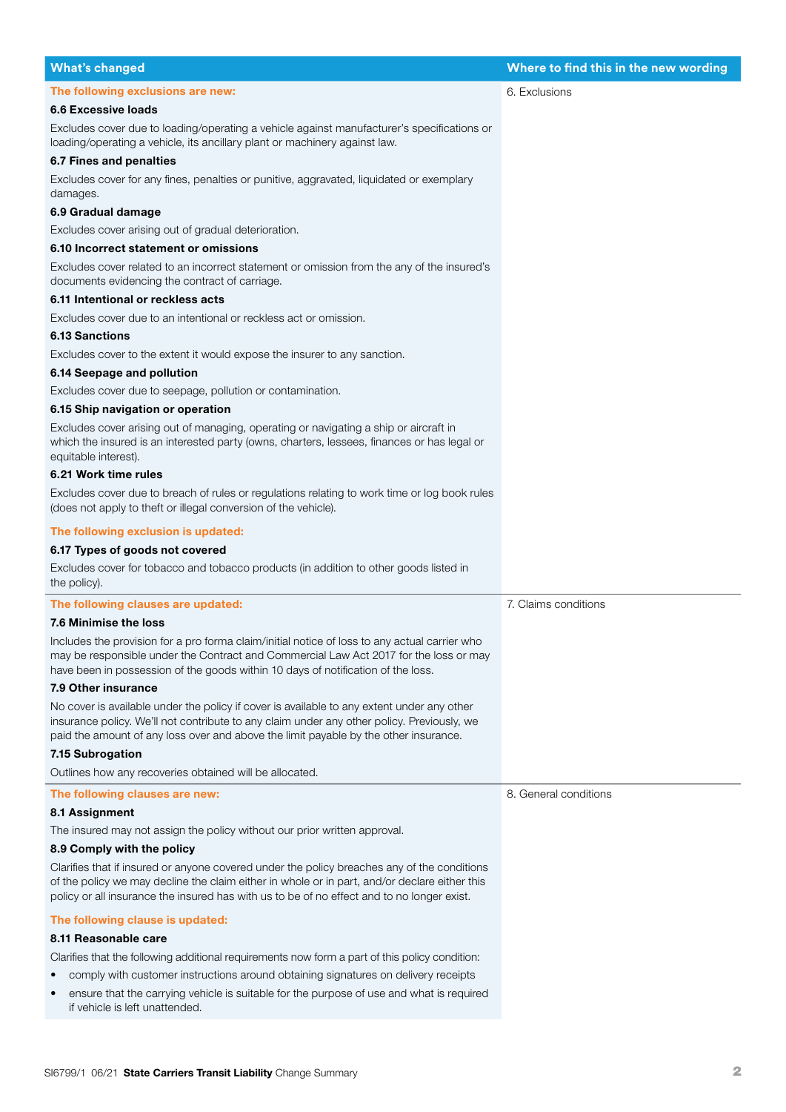| <b>What's changed</b>                                                                                                                                                                                                                                                                      | Where to find this in the new wording |
|--------------------------------------------------------------------------------------------------------------------------------------------------------------------------------------------------------------------------------------------------------------------------------------------|---------------------------------------|
| The following exclusions are new:                                                                                                                                                                                                                                                          | 6. Exclusions                         |
| <b>6.6 Excessive loads</b>                                                                                                                                                                                                                                                                 |                                       |
| Excludes cover due to loading/operating a vehicle against manufacturer's specifications or<br>loading/operating a vehicle, its ancillary plant or machinery against law.                                                                                                                   |                                       |
| 6.7 Fines and penalties                                                                                                                                                                                                                                                                    |                                       |
| Excludes cover for any fines, penalties or punitive, aggravated, liquidated or exemplary<br>damages.                                                                                                                                                                                       |                                       |
| 6.9 Gradual damage                                                                                                                                                                                                                                                                         |                                       |
| Excludes cover arising out of gradual deterioration.                                                                                                                                                                                                                                       |                                       |
| 6.10 Incorrect statement or omissions                                                                                                                                                                                                                                                      |                                       |
| Excludes cover related to an incorrect statement or omission from the any of the insured's<br>documents evidencing the contract of carriage.                                                                                                                                               |                                       |
| 6.11 Intentional or reckless acts                                                                                                                                                                                                                                                          |                                       |
| Excludes cover due to an intentional or reckless act or omission.                                                                                                                                                                                                                          |                                       |
| 6.13 Sanctions                                                                                                                                                                                                                                                                             |                                       |
| Excludes cover to the extent it would expose the insurer to any sanction.                                                                                                                                                                                                                  |                                       |
| 6.14 Seepage and pollution                                                                                                                                                                                                                                                                 |                                       |
| Excludes cover due to seepage, pollution or contamination.                                                                                                                                                                                                                                 |                                       |
| 6.15 Ship navigation or operation                                                                                                                                                                                                                                                          |                                       |
| Excludes cover arising out of managing, operating or navigating a ship or aircraft in<br>which the insured is an interested party (owns, charters, lessees, finances or has legal or<br>equitable interest).                                                                               |                                       |
| 6.21 Work time rules                                                                                                                                                                                                                                                                       |                                       |
| Excludes cover due to breach of rules or regulations relating to work time or log book rules<br>(does not apply to theft or illegal conversion of the vehicle).                                                                                                                            |                                       |
| The following exclusion is updated:                                                                                                                                                                                                                                                        |                                       |
| 6.17 Types of goods not covered                                                                                                                                                                                                                                                            |                                       |
| Excludes cover for tobacco and tobacco products (in addition to other goods listed in<br>the policy).                                                                                                                                                                                      |                                       |
| The following clauses are updated:                                                                                                                                                                                                                                                         | 7. Claims conditions                  |
| 7.6 Minimise the loss                                                                                                                                                                                                                                                                      |                                       |
| Includes the provision for a pro forma claim/initial notice of loss to any actual carrier who<br>may be responsible under the Contract and Commercial Law Act 2017 for the loss or may<br>have been in possession of the goods within 10 days of notification of the loss.                 |                                       |
| 7.9 Other insurance                                                                                                                                                                                                                                                                        |                                       |
| No cover is available under the policy if cover is available to any extent under any other<br>insurance policy. We'll not contribute to any claim under any other policy. Previously, we<br>paid the amount of any loss over and above the limit payable by the other insurance.           |                                       |
| 7.15 Subrogation                                                                                                                                                                                                                                                                           |                                       |
| Outlines how any recoveries obtained will be allocated.                                                                                                                                                                                                                                    |                                       |
| The following clauses are new:                                                                                                                                                                                                                                                             | 8. General conditions                 |
| 8.1 Assignment                                                                                                                                                                                                                                                                             |                                       |
| The insured may not assign the policy without our prior written approval.                                                                                                                                                                                                                  |                                       |
| 8.9 Comply with the policy                                                                                                                                                                                                                                                                 |                                       |
| Clarifies that if insured or anyone covered under the policy breaches any of the conditions<br>of the policy we may decline the claim either in whole or in part, and/or declare either this<br>policy or all insurance the insured has with us to be of no effect and to no longer exist. |                                       |
| The following clause is updated:                                                                                                                                                                                                                                                           |                                       |
| 8.11 Reasonable care                                                                                                                                                                                                                                                                       |                                       |
| Clarifies that the following additional requirements now form a part of this policy condition:                                                                                                                                                                                             |                                       |
| comply with customer instructions around obtaining signatures on delivery receipts                                                                                                                                                                                                         |                                       |
| ensure that the carrying vehicle is suitable for the purpose of use and what is required<br>if vehicle is left unattended.                                                                                                                                                                 |                                       |